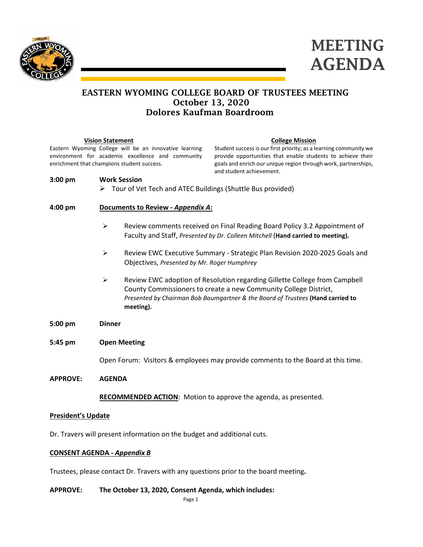



## EASTERN WYOMING COLLEGE BOARD OF TRUSTEES MEETING October 13, 2020 Dolores Kaufman Boardroom

|                                            | <b>Vision Statement</b>                                         |                                                        | <b>College Mission</b>                                                          |  |
|--------------------------------------------|-----------------------------------------------------------------|--------------------------------------------------------|---------------------------------------------------------------------------------|--|
|                                            |                                                                 | Eastern Wyoming College will be an innovative learning | Student success is our first priority; as a learning community we               |  |
|                                            |                                                                 | environment for academic excellence and community      | provide opportunities that enable students to achieve their                     |  |
| enrichment that champions student success. |                                                                 |                                                        | goals and enrich our unique region through work, partnerships,                  |  |
|                                            |                                                                 |                                                        | and student achievement.                                                        |  |
| $3:00$ pm                                  | <b>Work Session</b>                                             |                                                        |                                                                                 |  |
|                                            | Tour of Vet Tech and ATEC Buildings (Shuttle Bus provided)<br>➤ |                                                        |                                                                                 |  |
|                                            |                                                                 |                                                        |                                                                                 |  |
| $4:00 \text{ pm}$                          | Documents to Review - Appendix A:                               |                                                        |                                                                                 |  |
|                                            |                                                                 |                                                        |                                                                                 |  |
|                                            | ➤                                                               |                                                        | Review comments received on Final Reading Board Policy 3.2 Appointment of       |  |
|                                            |                                                                 |                                                        | Faculty and Staff, Presented by Dr. Colleen Mitchell (Hand carried to meeting). |  |
|                                            |                                                                 |                                                        |                                                                                 |  |
|                                            | ➤                                                               |                                                        | Review EWC Executive Summary - Strategic Plan Revision 2020-2025 Goals and      |  |
|                                            |                                                                 | Objectives, Presented by Mr. Roger Humphrey            |                                                                                 |  |
|                                            |                                                                 |                                                        |                                                                                 |  |
|                                            | ≻                                                               |                                                        | Review EWC adoption of Resolution regarding Gillette College from Campbell      |  |
|                                            |                                                                 |                                                        | County Commissioners to create a new Community College District,                |  |
|                                            |                                                                 |                                                        | Presented by Chairman Bob Baumgartner & the Board of Trustees (Hand carried to  |  |
|                                            |                                                                 | meeting).                                              |                                                                                 |  |
|                                            |                                                                 |                                                        |                                                                                 |  |
| $5:00 \text{ pm}$                          | <b>Dinner</b>                                                   |                                                        |                                                                                 |  |
| $5:45 \text{ pm}$                          | <b>Open Meeting</b>                                             |                                                        |                                                                                 |  |

Open Forum: Visitors & employees may provide comments to the Board at this time.

**APPROVE: AGENDA**

**RECOMMENDED ACTION**: Motion to approve the agenda, as presented.

#### **President's Update**

Dr. Travers will present information on the budget and additional cuts.

### **CONSENT AGENDA -** *Appendix B*

Trustees, please contact Dr. Travers with any questions prior to the board meeting**.**

#### **APPROVE: The October 13, 2020, Consent Agenda, which includes:**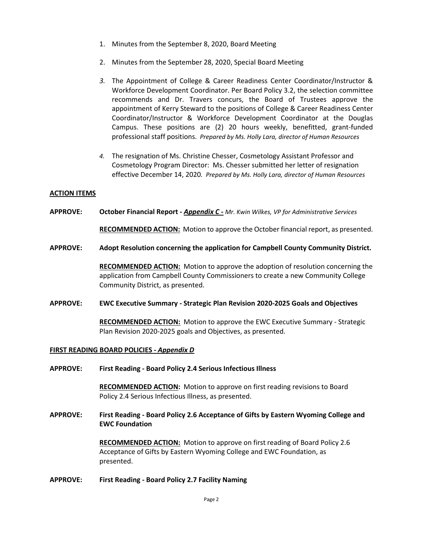- 1. Minutes from the September 8, 2020, Board Meeting
- 2. Minutes from the September 28, 2020, Special Board Meeting
- *3.* The Appointment of College & Career Readiness Center Coordinator/Instructor & Workforce Development Coordinator. Per Board Policy 3.2, the selection committee recommends and Dr. Travers concurs, the Board of Trustees approve the appointment of Kerry Steward to the positions of College & Career Readiness Center Coordinator/Instructor & Workforce Development Coordinator at the Douglas Campus. These positions are (2) 20 hours weekly, benefitted, grant-funded professional staff positions. *Prepared by Ms. Holly Lara, director of Human Resources*
- *4.* The resignation of Ms. Christine Chesser, Cosmetology Assistant Professor and Cosmetology Program Director: Ms. Chesser submitted her letter of resignation effective December 14, 2020*. Prepared by Ms. Holly Lara, director of Human Resources*

#### **ACTION ITEMS**

**APPROVE: October Financial Report -** *Appendix C - Mr. Kwin Wilkes, VP for Administrative Services*

**RECOMMENDED ACTION:** Motion to approve the October financial report, as presented.

#### **APPROVE: Adopt Resolution concerning the application for Campbell County Community District.**

**RECOMMENDED ACTION:** Motion to approve the adoption of resolution concerning the application from Campbell County Commissioners to create a new Community College Community District, as presented.

#### **APPROVE: EWC Executive Summary - Strategic Plan Revision 2020-2025 Goals and Objectives**

**RECOMMENDED ACTION:** Motion to approve the EWC Executive Summary - Strategic Plan Revision 2020-2025 goals and Objectives, as presented.

#### **FIRST READING BOARD POLICIES -** *Appendix D*

**APPROVE: First Reading - Board Policy 2.4 Serious Infectious Illness**

**RECOMMENDED ACTION:** Motion to approve on first reading revisions to Board Policy 2.4 Serious Infectious Illness, as presented.

**APPROVE: First Reading - Board Policy 2.6 Acceptance of Gifts by Eastern Wyoming College and EWC Foundation**

> **RECOMMENDED ACTION:** Motion to approve on first reading of Board Policy 2.6 Acceptance of Gifts by Eastern Wyoming College and EWC Foundation, as presented.

#### **APPROVE: First Reading - Board Policy 2.7 Facility Naming**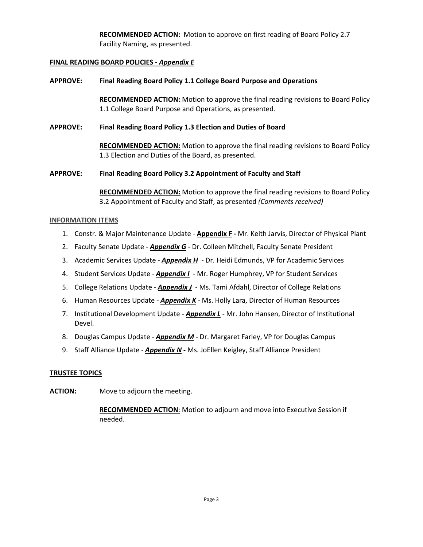**RECOMMENDED ACTION:** Motion to approve on first reading of Board Policy 2.7 Facility Naming, as presented.

### **FINAL READING BOARD POLICIES -** *Appendix E*

### **APPROVE: Final Reading Board Policy 1.1 College Board Purpose and Operations**

**RECOMMENDED ACTION:** Motion to approve the final reading revisions to Board Policy 1.1 College Board Purpose and Operations, as presented.

#### **APPROVE: Final Reading Board Policy 1.3 Election and Duties of Board**

**RECOMMENDED ACTION:** Motion to approve the final reading revisions to Board Policy 1.3 Election and Duties of the Board, as presented.

### **APPROVE: Final Reading Board Policy 3.2 Appointment of Faculty and Staff**

**RECOMMENDED ACTION:** Motion to approve the final reading revisions to Board Policy 3.2 Appointment of Faculty and Staff, as presented *(Comments received)*

### **INFORMATION ITEMS**

- 1. Constr. & Major Maintenance Update **Appendix F -** Mr. Keith Jarvis, Director of Physical Plant
- 2. Faculty Senate Update *Appendix G -* Dr. Colleen Mitchell, Faculty Senate President
- 3. Academic Services Update *Appendix H* Dr. Heidi Edmunds, VP for Academic Services
- 4. Student Services Update *Appendix I* Mr. Roger Humphrey, VP for Student Services
- 5. College Relations Update *Appendix J* Ms. Tami Afdahl, Director of College Relations
- 6. Human Resources Update *Appendix K* Ms. Holly Lara, Director of Human Resources
- 7. Institutional Development Update *Appendix L* Mr. John Hansen, Director of Institutional Devel.
- 8. Douglas Campus Update *Appendix M* Dr. Margaret Farley, VP for Douglas Campus
- 9. Staff Alliance Update *Appendix N -* Ms. JoEllen Keigley, Staff Alliance President

#### **TRUSTEE TOPICS**

**ACTION:** Move to adjourn the meeting.

**RECOMMENDED ACTION**: Motion to adjourn and move into Executive Session if needed.